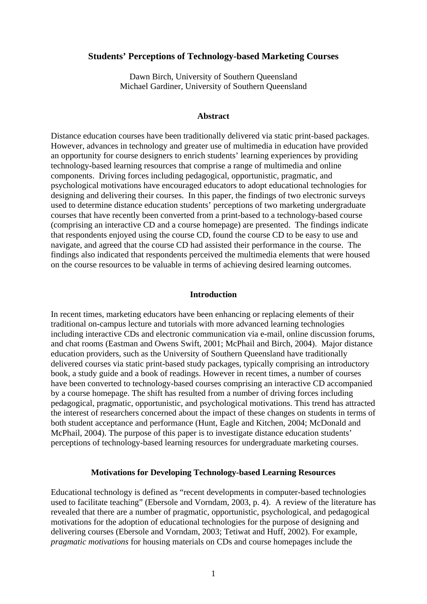## **Students' Perceptions of Technology-based Marketing Courses**

Dawn Birch, University of Southern Queensland Michael Gardiner, University of Southern Queensland

### **Abstract**

Distance education courses have been traditionally delivered via static print-based packages. However, advances in technology and greater use of multimedia in education have provided an opportunity for course designers to enrich students' learning experiences by providing technology-based learning resources that comprise a range of multimedia and online components. Driving forces including pedagogical, opportunistic, pragmatic, and psychological motivations have encouraged educators to adopt educational technologies for designing and delivering their courses. In this paper, the findings of two electronic surveys used to determine distance education students' perceptions of two marketing undergraduate courses that have recently been converted from a print-based to a technology-based course (comprising an interactive CD and a course homepage) are presented. The findings indicate that respondents enjoyed using the course CD, found the course CD to be easy to use and navigate, and agreed that the course CD had assisted their performance in the course. The findings also indicated that respondents perceived the multimedia elements that were housed on the course resources to be valuable in terms of achieving desired learning outcomes.

## **Introduction**

In recent times, marketing educators have been enhancing or replacing elements of their traditional on-campus lecture and tutorials with more advanced learning technologies including interactive CDs and electronic communication via e-mail, online discussion forums, and chat rooms (Eastman and Owens Swift, 2001; McPhail and Birch, 2004). Major distance education providers, such as the University of Southern Queensland have traditionally delivered courses via static print-based study packages, typically comprising an introductory book, a study guide and a book of readings. However in recent times, a number of courses have been converted to technology-based courses comprising an interactive CD accompanied by a course homepage. The shift has resulted from a number of driving forces including pedagogical, pragmatic, opportunistic, and psychological motivations. This trend has attracted the interest of researchers concerned about the impact of these changes on students in terms of both student acceptance and performance (Hunt, Eagle and Kitchen, 2004; McDonald and McPhail, 2004). The purpose of this paper is to investigate distance education students' perceptions of technology-based learning resources for undergraduate marketing courses.

#### **Motivations for Developing Technology-based Learning Resources**

Educational technology is defined as "recent developments in computer-based technologies used to facilitate teaching" (Ebersole and Vorndam, 2003, p. 4). A review of the literature has revealed that there are a number of pragmatic, opportunistic, psychological, and pedagogical motivations for the adoption of educational technologies for the purpose of designing and delivering courses (Ebersole and Vorndam, 2003; Tetiwat and Huff, 2002). For example, *pragmatic motivations* for housing materials on CDs and course homepages include the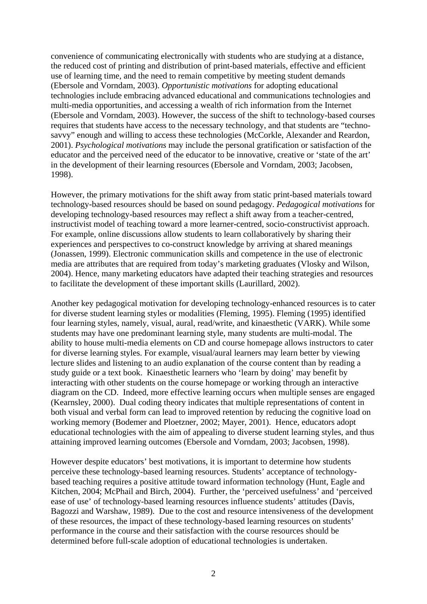convenience of communicating electronically with students who are studying at a distance, the reduced cost of printing and distribution of print-based materials, effective and efficient use of learning time, and the need to remain competitive by meeting student demands (Ebersole and Vorndam, 2003). *Opportunistic motivations* for adopting educational technologies include embracing advanced educational and communications technologies and multi-media opportunities, and accessing a wealth of rich information from the Internet (Ebersole and Vorndam, 2003). However, the success of the shift to technology-based courses requires that students have access to the necessary technology, and that students are "technosavvy" enough and willing to access these technologies (McCorkle, Alexander and Reardon, 2001). *Psychological motivations* may include the personal gratification or satisfaction of the educator and the perceived need of the educator to be innovative, creative or 'state of the art' in the development of their learning resources (Ebersole and Vorndam, 2003; Jacobsen, 1998).

However, the primary motivations for the shift away from static print-based materials toward technology-based resources should be based on sound pedagogy. *Pedagogical motivations* for developing technology-based resources may reflect a shift away from a teacher-centred, instructivist model of teaching toward a more learner-centred, socio-constructivist approach. For example, online discussions allow students to learn collaboratively by sharing their experiences and perspectives to co-construct knowledge by arriving at shared meanings (Jonassen, 1999). Electronic communication skills and competence in the use of electronic media are attributes that are required from today's marketing graduates (Vlosky and Wilson, 2004). Hence, many marketing educators have adapted their teaching strategies and resources to facilitate the development of these important skills (Laurillard, 2002).

Another key pedagogical motivation for developing technology-enhanced resources is to cater for diverse student learning styles or modalities (Fleming, 1995). Fleming (1995) identified four learning styles, namely, visual, aural, read/write, and kinaesthetic (VARK). While some students may have one predominant learning style, many students are multi-modal. The ability to house multi-media elements on CD and course homepage allows instructors to cater for diverse learning styles. For example, visual/aural learners may learn better by viewing lecture slides and listening to an audio explanation of the course content than by reading a study guide or a text book. Kinaesthetic learners who 'learn by doing' may benefit by interacting with other students on the course homepage or working through an interactive diagram on the CD. Indeed, more effective learning occurs when multiple senses are engaged (Kearnsley, 2000). Dual coding theory indicates that multiple representations of content in both visual and verbal form can lead to improved retention by reducing the cognitive load on working memory (Bodemer and Ploetzner, 2002; Mayer, 2001). Hence, educators adopt educational technologies with the aim of appealing to diverse student learning styles, and thus attaining improved learning outcomes (Ebersole and Vorndam, 2003; Jacobsen, 1998).

However despite educators' best motivations, it is important to determine how students perceive these technology-based learning resources. Students' acceptance of technologybased teaching requires a positive attitude toward information technology (Hunt, Eagle and Kitchen, 2004; McPhail and Birch, 2004). Further, the 'perceived usefulness' and 'perceived ease of use' of technology-based learning resources influence students' attitudes (Davis, Bagozzi and Warshaw, 1989). Due to the cost and resource intensiveness of the development of these resources, the impact of these technology-based learning resources on students' performance in the course and their satisfaction with the course resources should be determined before full-scale adoption of educational technologies is undertaken.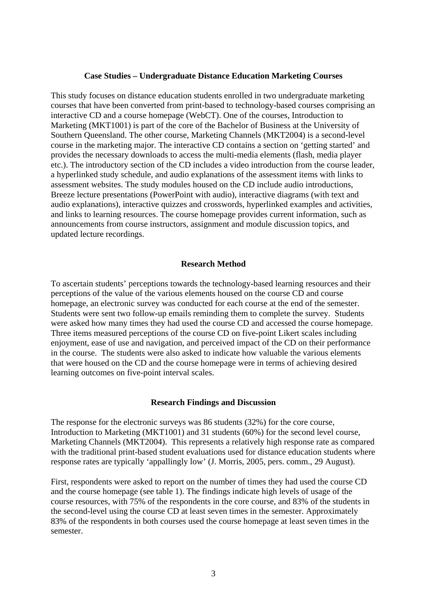# **Case Studies – Undergraduate Distance Education Marketing Courses**

This study focuses on distance education students enrolled in two undergraduate marketing courses that have been converted from print-based to technology-based courses comprising an interactive CD and a course homepage (WebCT). One of the courses, Introduction to Marketing (MKT1001) is part of the core of the Bachelor of Business at the University of Southern Queensland. The other course, Marketing Channels (MKT2004) is a second-level course in the marketing major. The interactive CD contains a section on 'getting started' and provides the necessary downloads to access the multi-media elements (flash, media player etc.). The introductory section of the CD includes a video introduction from the course leader, a hyperlinked study schedule, and audio explanations of the assessment items with links to assessment websites. The study modules housed on the CD include audio introductions, Breeze lecture presentations (PowerPoint with audio), interactive diagrams (with text and audio explanations), interactive quizzes and crosswords, hyperlinked examples and activities, and links to learning resources. The course homepage provides current information, such as announcements from course instructors, assignment and module discussion topics, and updated lecture recordings.

### **Research Method**

To ascertain students' perceptions towards the technology-based learning resources and their perceptions of the value of the various elements housed on the course CD and course homepage, an electronic survey was conducted for each course at the end of the semester. Students were sent two follow-up emails reminding them to complete the survey. Students were asked how many times they had used the course CD and accessed the course homepage. Three items measured perceptions of the course CD on five-point Likert scales including enjoyment, ease of use and navigation, and perceived impact of the CD on their performance in the course. The students were also asked to indicate how valuable the various elements that were housed on the CD and the course homepage were in terms of achieving desired learning outcomes on five-point interval scales.

#### **Research Findings and Discussion**

The response for the electronic surveys was 86 students (32%) for the core course, Introduction to Marketing (MKT1001) and 31 students (60%) for the second level course, Marketing Channels (MKT2004). This represents a relatively high response rate as compared with the traditional print-based student evaluations used for distance education students where response rates are typically 'appallingly low' (J. Morris, 2005, pers. comm., 29 August).

First, respondents were asked to report on the number of times they had used the course CD and the course homepage (see table 1). The findings indicate high levels of usage of the course resources, with 75% of the respondents in the core course, and 83% of the students in the second-level using the course CD at least seven times in the semester. Approximately 83% of the respondents in both courses used the course homepage at least seven times in the semester.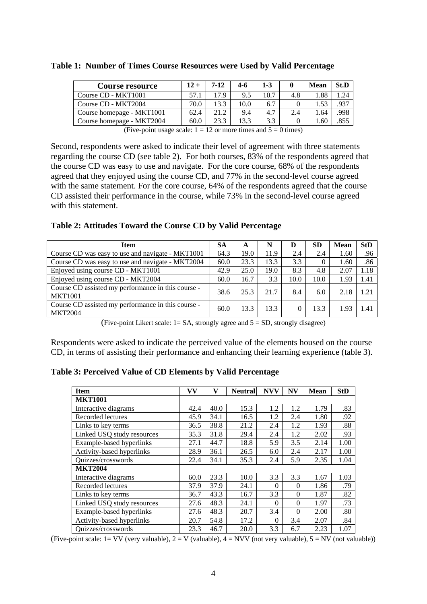| <b>Course resource</b>    | 12 + | 7-12 | 4-6              | 1-3  |     | Mean | St.D |
|---------------------------|------|------|------------------|------|-----|------|------|
| Course CD - MKT1001       | 57.1 | 179  | 9.5              | 10.7 | 4.8 | .88  | .24  |
| Course CD - MKT2004       | 70.0 | 133  | 10.0             | 6.7  |     |      | 027  |
| Course homepage - MKT1001 | 62.4 | 21.2 | 9.4              | 4.7  | 2.4 | .64  | .998 |
| Course homepage - MKT2004 | 60.0 | 23.3 | $\overline{3.3}$ | 3.3  |     | .60  |      |

**Table 1: Number of Times Course Resources were Used by Valid Percentage** 

(Five-point usage scale:  $1 = 12$  or more times and  $5 = 0$  times)

Second, respondents were asked to indicate their level of agreement with three statements regarding the course CD (see table 2). For both courses, 83% of the respondents agreed that the course CD was easy to use and navigate. For the core course, 68% of the respondents agreed that they enjoyed using the course CD, and 77% in the second-level course agreed with the same statement. For the core course, 64% of the respondents agreed that the course CD assisted their performance in the course, while 73% in the second-level course agreed with this statement.

**Table 2: Attitudes Toward the Course CD by Valid Percentage** 

| <b>Item</b>                                                          | <b>SA</b> | A    | N    | D    | <b>SD</b> | <b>Mean</b> | <b>StD</b> |
|----------------------------------------------------------------------|-----------|------|------|------|-----------|-------------|------------|
| Course CD was easy to use and navigate - MKT1001                     | 64.3      | 19.0 | 11.9 | 2.4  | 2.4       | 1.60        | .96        |
| Course CD was easy to use and navigate - MKT2004                     | 60.0      | 23.3 | 13.3 | 3.3  | 0         | 1.60        | .86        |
| Enjoyed using course CD - MKT1001                                    | 42.9      | 25.0 | 19.0 | 8.3  | 4.8       | 2.07        | 1.18       |
| Enjoyed using course CD - MKT2004                                    | 60.0      | 16.7 | 3.3  | 10.0 | 10.0      | 1.93        | 1.41       |
| Course CD assisted my performance in this course -<br><b>MKT1001</b> | 38.6      | 25.3 | 21.7 | 8.4  | 6.0       | 2.18        | 1.21       |
| Course CD assisted my performance in this course -<br><b>MKT2004</b> | 60.0      | 13.3 | 13.3 |      | 13.3      | 1.93        | 1.41       |

(Five-point Likert scale:  $1 = SA$ , strongly agree and  $5 = SD$ , strongly disagree)

Respondents were asked to indicate the perceived value of the elements housed on the course CD, in terms of assisting their performance and enhancing their learning experience (table 3).

**Table 3: Perceived Value of CD Elements by Valid Percentage** 

| <b>Item</b>                     | VV   | v    | <b>Neutral</b> | <b>NVV</b> | <b>NV</b> | <b>Mean</b> | <b>StD</b> |
|---------------------------------|------|------|----------------|------------|-----------|-------------|------------|
| <b>MKT1001</b>                  |      |      |                |            |           |             |            |
| Interactive diagrams            | 42.4 | 40.0 | 15.3           | 1.2        | 1.2       | 1.79        | .83        |
| Recorded lectures               | 45.9 | 34.1 | 16.5           | 1.2        | 2.4       | 1.80        | .92        |
| Links to key terms              | 36.5 | 38.8 | 21.2           | 2.4        | 1.2       | 1.93        | .88        |
| Linked USQ study resources      | 35.3 | 31.8 | 29.4           | 2.4        | 1.2       | 2.02        | .93        |
| Example-based hyperlinks        | 27.1 | 44.7 | 18.8           | 5.9        | 3.5       | 2.14        | 1.00       |
| Activity-based hyperlinks       | 28.9 | 36.1 | 26.5           | 6.0        | 2.4       | 2.17        | 1.00       |
| Quizzes/crosswords              | 22.4 | 34.1 | 35.3           | 2.4        | 5.9       | 2.35        | 1.04       |
| <b>MKT2004</b>                  |      |      |                |            |           |             |            |
| Interactive diagrams            | 60.0 | 23.3 | 10.0           | 3.3        | 3.3       | 1.67        | 1.03       |
| Recorded lectures               | 37.9 | 37.9 | 24.1           | $\Omega$   | $\Omega$  | 1.86        | .79        |
| Links to key terms              | 36.7 | 43.3 | 16.7           | 3.3        | $\Omega$  | 1.87        | .82        |
| Linked USQ study resources      | 27.6 | 48.3 | 24.1           | $\Omega$   | $\Omega$  | 1.97        | .73        |
| <b>Example-based hyperlinks</b> | 27.6 | 48.3 | 20.7           | 3.4        | $\Omega$  | 2.00        | .80        |
| Activity-based hyperlinks       | 20.7 | 54.8 | 17.2           | $\theta$   | 3.4       | 2.07        | .84        |
| Quizzes/crosswords              | 23.3 | 46.7 | 20.0           | 3.3        | 6.7       | 2.23        | 1.07       |

(Five-point scale:  $1=VV$  (very valuable),  $2=V$  (valuable),  $4=NVV$  (not very valuable),  $5=NV$  (not valuable))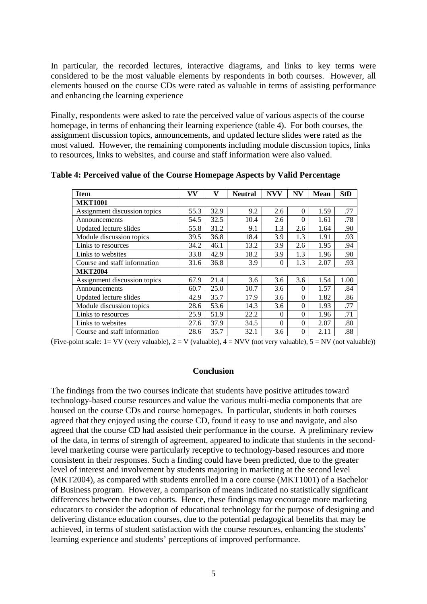In particular, the recorded lectures, interactive diagrams, and links to key terms were considered to be the most valuable elements by respondents in both courses. However, all elements housed on the course CDs were rated as valuable in terms of assisting performance and enhancing the learning experience

Finally, respondents were asked to rate the perceived value of various aspects of the course homepage, in terms of enhancing their learning experience (table 4). For both courses, the assignment discussion topics, announcements, and updated lecture slides were rated as the most valued. However, the remaining components including module discussion topics, links to resources, links to websites, and course and staff information were also valued.

| <b>Item</b>                  | <b>VV</b> | v    | <b>Neutral</b> | <b>NVV</b> | <b>NV</b> | <b>Mean</b> | <b>StD</b> |
|------------------------------|-----------|------|----------------|------------|-----------|-------------|------------|
| <b>MKT1001</b>               |           |      |                |            |           |             |            |
| Assignment discussion topics | 55.3      | 32.9 | 9.2            | 2.6        | $\Omega$  | 1.59        | .77        |
| Announcements                | 54.5      | 32.5 | 10.4           | 2.6        | $\Omega$  | 1.61        | .78        |
| Updated lecture slides       | 55.8      | 31.2 | 9.1            | 1.3        | 2.6       | 1.64        | .90        |
| Module discussion topics     | 39.5      | 36.8 | 18.4           | 3.9        | 1.3       | 1.91        | .93        |
| Links to resources           | 34.2      | 46.1 | 13.2           | 3.9        | 2.6       | 1.95        | .94        |
| Links to websites            | 33.8      | 42.9 | 18.2           | 3.9        | 1.3       | 1.96        | .90        |
| Course and staff information | 31.6      | 36.8 | 3.9            | $\Omega$   | 1.3       | 2.07        | .93        |
| <b>MKT2004</b>               |           |      |                |            |           |             |            |
| Assignment discussion topics | 67.9      | 21.4 | 3.6            | 3.6        | 3.6       | 1.54        | 1.00       |
| Announcements                | 60.7      | 25.0 | 10.7           | 3.6        | $\Omega$  | 1.57        | .84        |
| Updated lecture slides       | 42.9      | 35.7 | 17.9           | 3.6        | $\Omega$  | 1.82        | .86        |
| Module discussion topics     | 28.6      | 53.6 | 14.3           | 3.6        | $\Omega$  | 1.93        | .77        |
| Links to resources           | 25.9      | 51.9 | 22.2           | $\Omega$   | $\theta$  | 1.96        | .71        |
| Links to websites            | 27.6      | 37.9 | 34.5           | $\Omega$   | $\theta$  | 2.07        | .80        |
| Course and staff information | 28.6      | 35.7 | 32.1           | 3.6        | $\theta$  | 2.11        | .88        |

**Table 4: Perceived value of the Course Homepage Aspects by Valid Percentage** 

(Five-point scale:  $1=VV$  (very valuable),  $2=V$  (valuable),  $4=NVV$  (not very valuable),  $5=NV$  (not valuable))

### **Conclusion**

The findings from the two courses indicate that students have positive attitudes toward technology-based course resources and value the various multi-media components that are housed on the course CDs and course homepages. In particular, students in both courses agreed that they enjoyed using the course CD, found it easy to use and navigate, and also agreed that the course CD had assisted their performance in the course. A preliminary review of the data, in terms of strength of agreement, appeared to indicate that students in the secondlevel marketing course were particularly receptive to technology-based resources and more consistent in their responses. Such a finding could have been predicted, due to the greater level of interest and involvement by students majoring in marketing at the second level (MKT2004), as compared with students enrolled in a core course (MKT1001) of a Bachelor of Business program. However, a comparison of means indicated no statistically significant differences between the two cohorts. Hence, these findings may encourage more marketing educators to consider the adoption of educational technology for the purpose of designing and delivering distance education courses, due to the potential pedagogical benefits that may be achieved, in terms of student satisfaction with the course resources, enhancing the students' learning experience and students' perceptions of improved performance.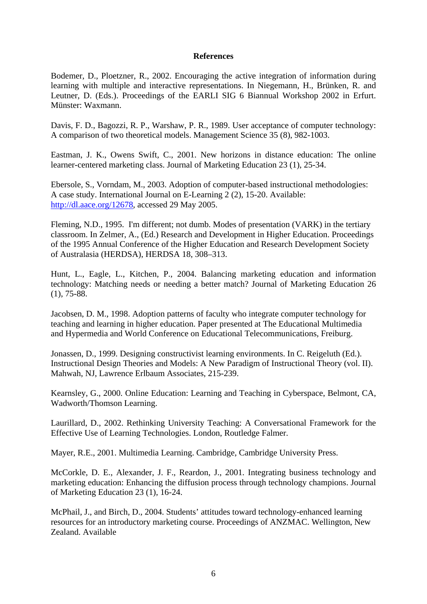# **References**

Bodemer, D., Ploetzner, R., 2002. Encouraging the active integration of information during learning with multiple and interactive representations. In Niegemann, H., Brünken, R. and Leutner, D. (Eds.). Proceedings of the EARLI SIG 6 Biannual Workshop 2002 in Erfurt. Münster: Waxmann.

Davis, F. D., Bagozzi, R. P., Warshaw, P. R., 1989. User acceptance of computer technology: A comparison of two theoretical models. Management Science 35 (8), 982-1003.

Eastman, J. K., Owens Swift, C., 2001. New horizons in distance education: The online learner-centered marketing class. Journal of Marketing Education 23 (1), 25-34.

Ebersole, S., Vorndam, M., 2003. Adoption of computer-based instructional methodologies: A case study. International Journal on E-Learning 2 (2), 15-20. Available: http://dl.aace.org/12678, accessed 29 May 2005.

Fleming, N.D., 1995. I'm different; not dumb. Modes of presentation (VARK) in the tertiary classroom. In Zelmer, A., (Ed.) Research and Development in Higher Education. Proceedings of the 1995 Annual Conference of the Higher Education and Research Development Society of Australasia (HERDSA), HERDSA 18, 308–313.

Hunt, L., Eagle, L., Kitchen, P., 2004. Balancing marketing education and information technology: Matching needs or needing a better match? Journal of Marketing Education 26 (1), 75-88.

Jacobsen, D. M., 1998. Adoption patterns of faculty who integrate computer technology for teaching and learning in higher education. Paper presented at The Educational Multimedia and Hypermedia and World Conference on Educational Telecommunications, Freiburg.

Jonassen, D., 1999. Designing constructivist learning environments. In C. Reigeluth (Ed.). Instructional Design Theories and Models: A New Paradigm of Instructional Theory (vol. II). Mahwah, NJ, Lawrence Erlbaum Associates, 215-239.

Kearnsley, G., 2000. Online Education: Learning and Teaching in Cyberspace, Belmont, CA, Wadworth/Thomson Learning.

Laurillard, D., 2002. Rethinking University Teaching: A Conversational Framework for the Effective Use of Learning Technologies. London, Routledge Falmer.

Mayer, R.E., 2001. Multimedia Learning. Cambridge, Cambridge University Press.

McCorkle, D. E., Alexander, J. F., Reardon, J., 2001. Integrating business technology and marketing education: Enhancing the diffusion process through technology champions. Journal of Marketing Education 23 (1), 16-24.

McPhail, J., and Birch, D., 2004. Students' attitudes toward technology-enhanced learning resources for an introductory marketing course. Proceedings of ANZMAC. Wellington, New Zealand. Available